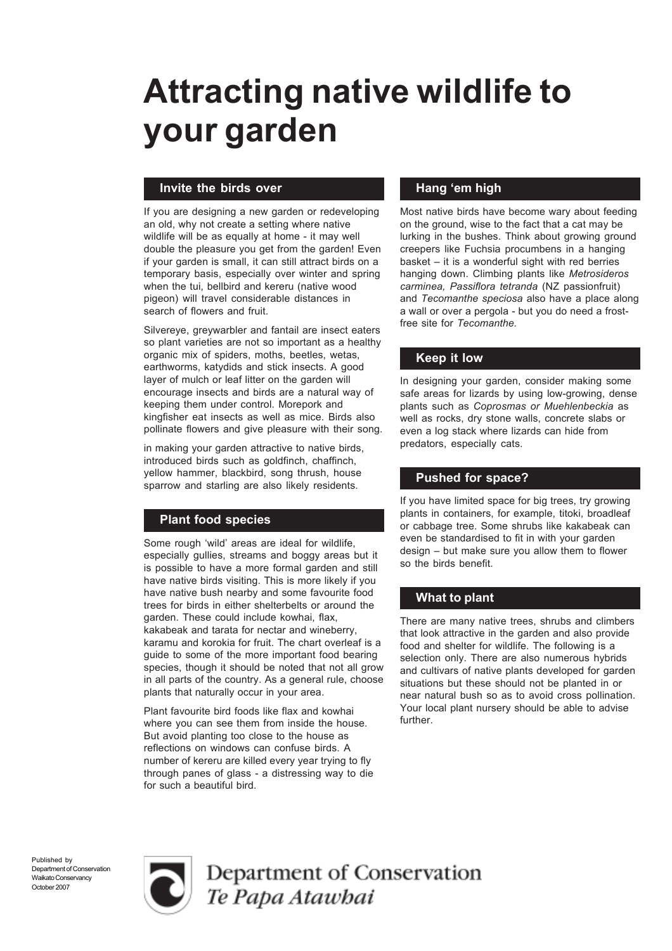# Attracting native wildlife to your garden

# Invite the birds over

If you are designing a new garden or redeveloping an old, why not create a setting where native wildlife will be as equally at home - it may well double the pleasure you get from the garden! Even if your garden is small, it can still attract birds on a temporary basis, especially over winter and spring when the tui, bellbird and kereru (native wood pigeon) will travel considerable distances in search of flowers and fruit.

Silvereye, greywarbler and fantail are insect eaters so plant varieties are not so important as a healthy organic mix of spiders, moths, beetles, wetas, earthworms, katydids and stick insects. A good layer of mulch or leaf litter on the garden will encourage insects and birds are a natural way of keeping them under control. Morepork and kingfisher eat insects as well as mice. Birds also pollinate flowers and give pleasure with their song.

in making your garden attractive to native birds, introduced birds such as goldfinch, chaffinch, yellow hammer, blackbird, song thrush, house sparrow and starling are also likely residents.

# Plant food species

Some rough 'wild' areas are ideal for wildlife, especially gullies, streams and boggy areas but it is possible to have a more formal garden and still have native birds visiting. This is more likely if you have native bush nearby and some favourite food trees for birds in either shelterbelts or around the garden. These could include kowhai, flax, kakabeak and tarata for nectar and wineberry, karamu and korokia for fruit. The chart overleaf is a guide to some of the more important food bearing species, though it should be noted that not all grow in all parts of the country. As a general rule, choose plants that naturally occur in your area.

Plant favourite bird foods like flax and kowhai where you can see them from inside the house. But avoid planting too close to the house as reflections on windows can confuse birds. A number of kereru are killed every year trying to fly through panes of glass - a distressing way to die for such a beautiful bird.

# Hang 'em high

Most native birds have become wary about feeding on the ground, wise to the fact that a cat may be lurking in the bushes. Think about growing ground creepers like Fuchsia procumbens in a hanging basket – it is a wonderful sight with red berries hanging down. Climbing plants like *Metrosideros carminea, Passiflora tetranda* (NZ passionfruit) and *Tecomanthe speciosa* also have a place along a wall or over a pergola - but you do need a frostfree site for *Tecomanthe.*

# Keep it low

In designing your garden, consider making some safe areas for lizards by using low-growing, dense plants such as *Coprosmas or Muehlenbeckia* as well as rocks, dry stone walls, concrete slabs or even a log stack where lizards can hide from predators, especially cats.

# Pushed for space?

If you have limited space for big trees, try growing plants in containers, for example, titoki, broadleaf or cabbage tree. Some shrubs like kakabeak can even be standardised to fit in with your garden design – but make sure you allow them to flower so the birds benefit.

# What to plant

There are many native trees, shrubs and climbers that look attractive in the garden and also provide food and shelter for wildlife. The following is a selection only. There are also numerous hybrids and cultivars of native plants developed for garden situations but these should not be planted in or near natural bush so as to avoid cross pollination. Your local plant nursery should be able to advise further.

Published by Department of Conservation Waikato Conservancy October 2007



Department of Conservation Te Papa Atawhai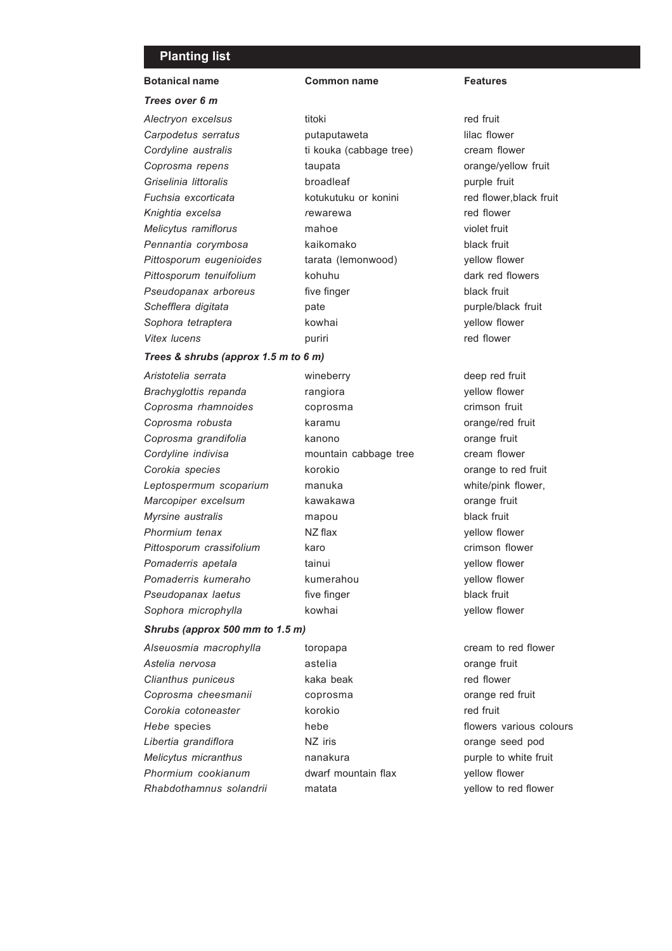### Planting list

## Botanical name Common name Features

#### *Trees over 6 m*

*Alectryon excelsus* titoki titoki red fruit **Carpodetus serratus putaputaweta lilac flower Cordyline australis** ti kouka (cabbage tree) cream flower **Coprosma repens** taupata **compared taupata** orange/yellow fruit **Griselinia littoralis** broadleaf **purple fruit** *Fuchsia excorticata* kotukutuku or konini red flower,black fruit *Knightia excelsa r*ewarewa red flower *Melicytus ramiflorus* mahoe violet fruit *Pennantia corymbosa* kaikomako black fruit *Pittosporum eugenioides* tarata (lemonwood) yellow flower Pittosporum tenuifolium based kohuhu dark red flowers **Pseudopanax arboreus** five finger **fixed fruit** black fruit *Schefflera digitata* pate purple/black fruit *Sophora tetraptera* kowhai yellow flower Vitex lucens **puriti red** flower

#### *Trees & shrubs (approx 1.5 m to 6 m)*

Aristotelia serrata **metala metala della viene della viene della viene della viene della viene della viene dell Brachyglottis repanda** rangiora **rangiora** yellow flower **Coprosma rhamnoides** coprosma crimson fruit **Coprosma robusta** karamu **coprosma robusta** karamu **orange/red** fruit **Coprosma grandifolia** kanono **comparage fruit Cordyline indivisa** mountain cabbage tree cream flower *Corokia species* korokio orange to red fruit *Leptospermum scoparium* manuka white/pink flower, *Marcopiper excelsum* kawakawa **biasa kawakawa** orange fruit *Myrsine australis* mapou black fruit *Phormium tenax* NZ flax yellow flower Pittosporum crassifolium karo karo crimson flower **Pomaderris apetala** tainui tainui vellow flower **Pomaderris kumeraho** kumerahou wellow flower **Pseudopanax laetus** five finger **black** fruit Sophora microphylla **by a kowhai by a component was a vellow flower** 

# *Shrubs (approx 500 mm to 1.5 m)*

*Astelia nervosa* astelia orange fruit *Clianthus puniceus* kaka beak red flower *Coprosma cheesmanii* coprosma orange red fruit *Corokia cotoneaster* korokio red fruit *Hebe* species **hebe hebe hebe hebe hebe flowers** various colours *Libertia grandiflora* NZ iris orange seed pod *Melicytus micranthus* **nanakura purple to white fruit** *Phormium cookianum* dwarf mountain flax yellow flower *Rhabdothamnus solandrii* matata yellow to red flower

Alseuosmia macrophylla toropapa cream to red flower